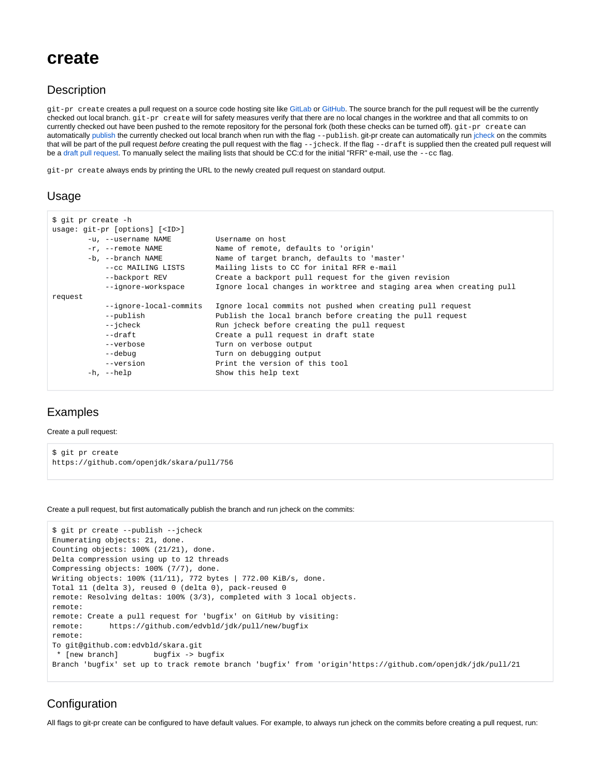# **create**

### **Description**

git-pr create creates a pull request on a source code hosting site like [GitLab](https://gitlab.com) or [GitHub.](https://github.com) The source branch for the pull request will be the currently checked out local branch. git-pr create will for safety measures verify that there are no local changes in the worktree and that all commits to on currently checked out have been pushed to the remote repository for the personal fork (both these checks can be turned off).  $git-pr\ create$  create can automatically [publish](https://wiki.openjdk.java.net/display/SKARA/git-publish) the currently checked out local branch when run with the flag --publish. git-pr create can automatically run [jcheck](https://wiki.openjdk.java.net/display/SKARA/git-jcheck) on the commits that will be part of the pull request before creating the pull request with the flag --jcheck. If the flag --draft is supplied then the created pull request will be a [draft pull request.](https://wiki.openjdk.java.net/display/SKARA/FAQ#FAQ-Whatisadraftpullrequest?) To manually select the mailing lists that should be CC:d for the initial "RFR" e-mail, use the --cc flag.

git-pr create always ends by printing the URL to the newly created pull request on standard output.

#### Usage

```
$ git pr create -h
usage: git-pr [options] [<ID>]
       -u, --username NAME Username on host
        -r, --remote NAME Name of remote, defaults to 'origin'
       -b, --branch NAME Name of target branch, defaults to 'master'
           --cc MAILING LISTS Mailing lists to CC for inital RFR e-mail
           --backport REV Create a backport pull request for the given revision
          --ignore-workspace Ignore local changes in worktree and staging area when creating pull
request
           --ignore-local-commits Ignore local commits not pushed when creating pull request
           --publish Publish the local branch before creating the pull request
          --jcheck Run jcheck before creating the pull request
          --draft Create a pull request in draft state
           --verbose Turn on verbose output
          --debug Turn on debugging output
       --version Print the version of this tool<br>-h, --help Show this help text
                                Show this help text
```
## Examples

Create a pull request:

```
$ git pr create
https://github.com/openjdk/skara/pull/756
```
Create a pull request, but first automatically publish the branch and run jcheck on the commits:

```
$ git pr create --publish --jcheck
Enumerating objects: 21, done.
Counting objects: 100% (21/21), done.
Delta compression using up to 12 threads
Compressing objects: 100% (7/7), done.
Writing objects: 100% (11/11), 772 bytes | 772.00 KiB/s, done.
Total 11 (delta 3), reused 0 (delta 0), pack-reused 0
remote: Resolving deltas: 100% (3/3), completed with 3 local objects.
remote: 
remote: Create a pull request for 'bugfix' on GitHub by visiting:
remote: https://github.com/edvbld/jdk/pull/new/bugfix
remote: 
To git@github.com:edvbld/skara.git
 * [new branch] bugfix -> bugfix
Branch 'bugfix' set up to track remote branch 'bugfix' from 'origin'https://github.com/openjdk/jdk/pull/21
```
## **Configuration**

All flags to git-pr create can be configured to have default values. For example, to always run jcheck on the commits before creating a pull request, run: